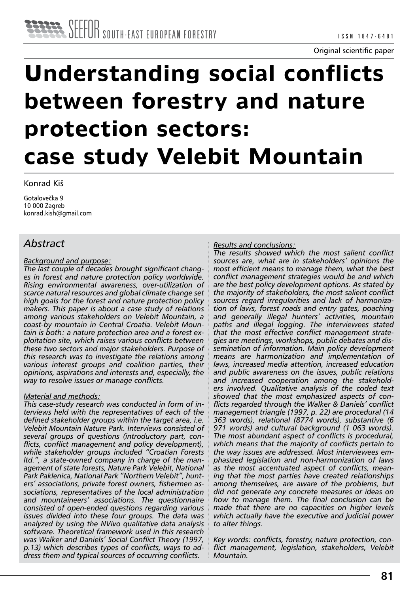# **Understanding social conflicts between forestry and nature protection sectors: case study Velebit Mountain**

Konrad Kiš

Gotalovečka 9 10 000 Zagreb konrad.kish@gmail.com

# *Abstract*

#### *Background and purpose:*

*The last couple of decades brought significant changes in forest and nature protection policy worldwide. Rising environmental awareness, over-utilization of scarce natural resources and global climate change set high goals for the forest and nature protection policy makers. This paper is about a case study of relations among various stakeholders on Velebit Mountain, a coast-by mountain in Central Croatia. Velebit Mountain is both: a nature protection area and a forest exploitation site, which raises various conflicts between these two sectors and major stakeholders. Purpose of this research was to investigate the relations among various interest groups and coalition parties, their opinions, aspirations and interests and, especially, the way to resolve issues or manage conflicts.*

### *Material and methods:*

*This case-study research was conducted in form of interviews held with the representatives of each of the defined stakeholder groups within the target area, i.e. Velebit Mountain Nature Park. Interviews consisted of several groups of questions (introductory part, conflicts, conflict management and policy development), while stakeholder groups included "Croatian Forests ltd.", a state-owned company in charge of the management of state forests, Nature Park Velebit, National Park Paklenica, National Park "Northern Velebit", hunters' associations, private forest owners, fishermen associations, representatives of the local administration and mountaineers' associations. The questionnaire consisted of open-ended questions regarding various issues divided into these four groups. The data was analyzed by using the NVivo qualitative data analysis software. Theoretical framework used in this research was Walker and Daniels' Social Conflict Theory (1997, p.13) which describes types of conflicts, ways to address them and typical sources of occurring conflicts.*

#### *Results and conclusions:*

*The results showed which the most salient conflict sources are, what are in stakeholders' opinions the most efficient means to manage them, what the best conflict management strategies would be and which are the best policy development options. As stated by the majority of stakeholders, the most salient conflict sources regard irregularities and lack of harmonization of laws, forest roads and entry gates, poaching and generally illegal hunters' activities, mountain paths and illegal logging. The interviewees stated that the most effective conflict management strategies are meetings, workshops, public debates and dissemination of information. Main policy development means are harmonization and implementation of laws, increased media attention, increased education and public awareness on the issues, public relations and increased cooperation among the stakeholders involved. Qualitative analysis of the coded text showed that the most emphasized aspects of conflicts regarded through the Walker & Daniels' conflict management triangle (1997, p. 22) are procedural (14 363 words), relational (8774 words), substantive (6 971 words) and cultural background (1 063 words). The most abundant aspect of conflicts is procedural, which means that the majority of conflicts pertain to the way issues are addressed. Most interviewees emphasized legislation and non-harmonization of laws as the most accentuated aspect of conflicts, meaning that the most parties have created relationships among themselves, are aware of the problems, but did not generate any concrete measures or ideas on how to manage them. The final conclusion can be made that there are no capacities on higher levels which actually have the executive and judicial power to alter things.*

*Key words: conflicts, forestry, nature protection, conflict management, legislation, stakeholders, Velebit Mountain.*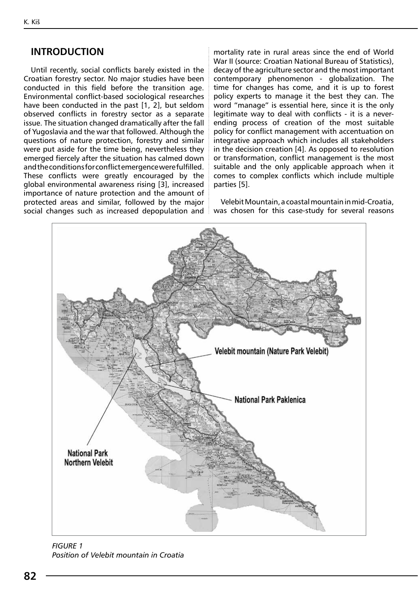## **INTRODUCTION**

Until recently, social conflicts barely existed in the Croatian forestry sector. No major studies have been conducted in this field before the transition age. Environmental conflict-based sociological researches have been conducted in the past [1, 2], but seldom observed conflicts in forestry sector as a separate issue. The situation changed dramatically after the fall of Yugoslavia and the war that followed. Although the questions of nature protection, forestry and similar were put aside for the time being, nevertheless they emerged fiercely after the situation has calmed down and the conditions for conflict emergence were fulfilled. These conflicts were greatly encouraged by the global environmental awareness rising [3], increased importance of nature protection and the amount of protected areas and similar, followed by the major social changes such as increased depopulation and  $\mathop{\rule[0pt]{.5pt}{.}\,}$  was chosen for this case-study for several reasons

mortality rate in rural areas since the end of World War II (source: Croatian National Bureau of Statistics), decay of the agriculture sector and the most important contemporary phenomenon - globalization. The time for changes has come, and it is up to forest policy experts to manage it the best they can. The word "manage" is essential here, since it is the only legitimate way to deal with conflicts - it is a neverending process of creation of the most suitable policy for conflict management with accentuation on integrative approach which includes all stakeholders in the decision creation [4]. As opposed to resolution or transformation, conflict management is the most suitable and the only applicable approach when it comes to complex conflicts which include multiple parties [5].

Velebit Mountain, a coastal mountain in mid-Croatia,



*Figure 1 Position of Velebit mountain in Croatia*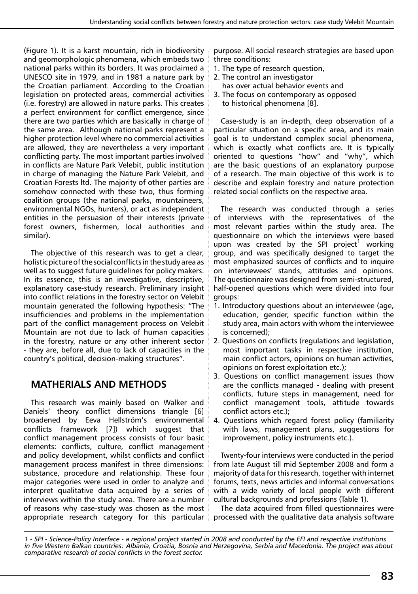(Figure 1). It is a karst mountain, rich in biodiversity and geomorphologic phenomena, which embeds two national parks within its borders. It was proclaimed a UNESCO site in 1979, and in 1981 a nature park by the Croatian parliament. According to the Croatian legislation on protected areas, commercial activities (i.e. forestry) are allowed in nature parks. This creates a perfect environment for conflict emergence, since there are two parties which are basically in charge of the same area. Although national parks represent a higher protection level where no commercial activities are allowed, they are nevertheless a very important conflicting party. The most important parties involved in conflicts are Nature Park Velebit, public institution in charge of managing the Nature Park Velebit, and Croatian Forests ltd. The majority of other parties are somehow connected with these two, thus forming coalition groups (the national parks, mountaineers, environmental NGOs, hunters), or act as independent entities in the persuasion of their interests (private forest owners, fishermen, local authorities and similar).

The objective of this research was to get a clear, holistic picture of the social conflicts in the study area as well as to suggest future guidelines for policy makers. In its essence, this is an investigative, descriptive, explanatory case-study research. Preliminary insight into conflict relations in the forestry sector on Velebit mountain generated the following hypothesis: "The insufficiencies and problems in the implementation part of the conflict management process on Velebit Mountain are not due to lack of human capacities in the forestry, nature or any other inherent sector - they are, before all, due to lack of capacities in the country's political, decision-making structures".

# **MATHERIALS AND METHODS**

This research was mainly based on Walker and Daniels' theory conflict dimensions triangle [6] broadened by Eeva Hellström's environmental conflicts framework [7]) which suggest that conflict management process consists of four basic elements: conflicts, culture, conflict management and policy development, whilst conflicts and conflict management process manifest in three dimensions: substance, procedure and relationship. These four major categories were used in order to analyze and interpret qualitative data acquired by a series of interviews within the study area. There are a number of reasons why case-study was chosen as the most purpose. All social research strategies are based upon three conditions:

- 1. The type of research question,
- 2. The control an investigator
- has over actual behavior events and
- 3. The focus on contemporary as opposed to historical phenomena [8].

Case-study is an in-depth, deep observation of a particular situation on a specific area, and its main goal is to understand complex social phenomena, which is exactly what conflicts are. It is typically oriented to questions "how" and "why", which are the basic questions of an explanatory purpose of a research. The main objective of this work is to describe and explain forestry and nature protection related social conflicts on the respective area.

The research was conducted through a series of interviews with the representatives of the most relevant parties within the study area. The questionnaire on which the interviews were based upon was created by the SPI project<sup>1</sup> working group, and was specifically designed to target the most emphasized sources of conflicts and to inquire on interviewees' stands, attitudes and opinions. The questionnaire was designed from semi-structured, half-opened questions which were divided into four groups:

- 1. Introductory questions about an interviewee (age, education, gender, specific function within the study area, main actors with whom the interviewee is concerned);
- 2. Questions on conflicts (regulations and legislation, most important tasks in respective institution, main conflict actors, opinions on human activities, opinions on forest exploitation etc.);
- 3. Questions on conflict management issues (how are the conflicts managed - dealing with present conflicts, future steps in management, need for conflict management tools, attitude towards conflict actors etc.);
- 4. Questions which regard forest policy (familiarity with laws, management plans, suggestions for improvement, policy instruments etc.).

Twenty-four interviews were conducted in the period from late August till mid September 2008 and form a majority of data for this research, together with internet forums, texts, news articles and informal conversations with a wide variety of local people with different cultural backgrounds and professions (Table 1).

appropriate research category for this particular in processed with the qualitative data analysis software The data acquired from filled questionnaires were

*<sup>1 -</sup> SPI - Science-Policy Interface - a regional project started in 2008 and conducted by the EFI and respective institutions in five Western Balkan countries: Albania, Croatia, Bosnia and Herzegovina, Serbia and Macedonia. The project was about comparative research of social conflicts in the forest sector.*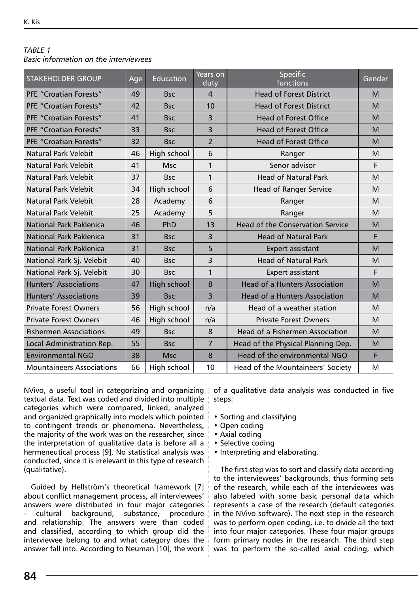## *Table 1*

*Basic information on the interviewees*

| <b>STAKEHOLDER GROUP</b>         | Age | Education   | Years on<br>duty | <b>Specific</b><br>functions         | Gender |
|----------------------------------|-----|-------------|------------------|--------------------------------------|--------|
| PFF "Croatian Forests"           | 49  | <b>Bsc</b>  | $\overline{4}$   | <b>Head of Forest District</b>       | M      |
| <b>PFE "Croatian Forests"</b>    | 42  | <b>Bsc</b>  | 10               | <b>Head of Forest District</b>       | M      |
| <b>PFE "Croatian Forests"</b>    | 41  | <b>Bsc</b>  | 3                | <b>Head of Forest Office</b>         | M      |
| <b>PFE "Croatian Forests"</b>    | 33  | <b>Bsc</b>  | 3                | <b>Head of Forest Office</b>         | M      |
| <b>PFE "Croatian Forests"</b>    | 32  | <b>Bsc</b>  | $\overline{2}$   | <b>Head of Forest Office</b>         | M      |
| Natural Park Velebit             | 46  | High school | 6                | Ranger                               | M      |
| Natural Park Velebit             | 41  | <b>Msc</b>  | $\mathbf{1}$     | Senor advisor                        | F      |
| Natural Park Velebit             | 37  | <b>Bsc</b>  | $\mathbf{1}$     | <b>Head of Natural Park</b>          | M      |
| Natural Park Velebit             | 34  | High school | 6                | <b>Head of Ranger Service</b>        | M      |
| Natural Park Velebit             | 28  | Academy     | 6                | Ranger                               | M      |
| Natural Park Velebit             | 25  | Academy     | 5                | Ranger                               | M      |
| National Park Paklenica          | 46  | PhD         | 13               | Head of the Conservation Service     | M      |
| National Park Paklenica          | 31  | <b>Bsc</b>  | 3                | <b>Head of Natural Park</b>          | F      |
| National Park Paklenica          | 31  | <b>Bsc</b>  | 5                | <b>Expert assistant</b>              | M      |
| National Park Sj. Velebit        | 40  | <b>Bsc</b>  | 3                | <b>Head of Natural Park</b>          | M      |
| National Park Sj. Velebit        | 30  | <b>Bsc</b>  | $\mathbf{1}$     | Expert assistant                     | F      |
| <b>Hunters' Associations</b>     | 47  | High school | 8                | <b>Head of a Hunters Association</b> | M      |
| Hunters' Associations            | 39  | <b>Bsc</b>  | 3                | <b>Head of a Hunters Association</b> | M      |
| <b>Private Forest Owners</b>     | 56  | High school | n/a              | Head of a weather station            | M      |
| <b>Private Forest Owners</b>     | 46  | High school | n/a              | <b>Private Forest Owners</b>         | M      |
| <b>Fishermen Associations</b>    | 49  | <b>Bsc</b>  | 8                | Head of a Fishermen Association      | M      |
| Local Administration Rep.        | 55  | <b>Bsc</b>  | $\overline{7}$   | Head of the Physical Planning Dep.   | M      |
| <b>Environmental NGO</b>         | 38  | <b>Msc</b>  | 8                | Head of the environmental NGO        | F      |
| <b>Mountaineers Associations</b> | 66  | High school | 10               | Head of the Mountaineers' Society    | M      |

NVivo, a useful tool in categorizing and organizing textual data. Text was coded and divided into multiple categories which were compared, linked, analyzed and organized graphically into models which pointed to contingent trends or phenomena. Nevertheless, the majority of the work was on the researcher, since the interpretation of qualitative data is before all a hermeneutical process [9]. No statistical analysis was conducted, since it is irrelevant in this type of research (qualitative).

Guided by Hellström's theoretical framework [7] about conflict management process, all interviewees' answers were distributed in four major categories cultural background, substance, procedure and relationship. The answers were than coded and classified, according to which group did the interviewee belong to and what category does the answer fall into. According to Neuman [10], the work of a qualitative data analysis was conducted in five steps:

- Sorting and classifying
- Open coding
- Axial coding
- Selective coding
- Interpreting and elaborating.

The first step was to sort and classify data according to the interviewees' backgrounds, thus forming sets of the research, while each of the interviewees was also labeled with some basic personal data which represents a case of the research (default categories in the NVivo software). The next step in the research was to perform open coding, i.e. to divide all the text into four major categories. These four major groups form primary nodes in the research. The third step was to perform the so-called axial coding, which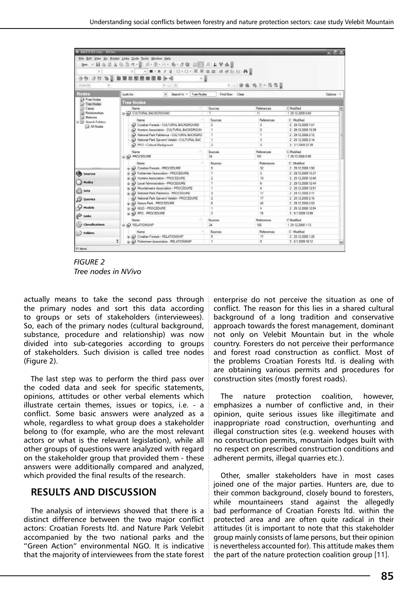| <b>DEMASTERS INVESTIGATION</b>                           |                                                        |                                                 |                         |                         |                    | $=$ $E$ $X$ |
|----------------------------------------------------------|--------------------------------------------------------|-------------------------------------------------|-------------------------|-------------------------|--------------------|-------------|
|                                                          | File Edit View Go Project Links Code Tools Window Help |                                                 |                         |                         |                    |             |
| New · 四心回义归                                              |                                                        | ゥ·夏 三·三·一· ル·ク@ 田田 月 山平吉良                       |                         |                         |                    |             |
| $\omega$                                                 |                                                        | ■·B / H □·□· 斯蒂道目 该该任任 典                        |                         |                         |                    |             |
|                                                          |                                                        |                                                 |                         |                         |                    |             |
| 激<br>993                                                 | 閼                                                      | $  \mathbf{a}  $                                |                         |                         |                    |             |
| Cnde At                                                  |                                                        | $\tau$ it                                       |                         | - 10 曲 电 田 - 形 思        |                    |             |
| Nodes                                                    | Look for:                                              | $\bullet$<br>Search In . Tree Nodes             | Find Now Clear          |                         |                    | Octions -   |
| <b>B</b> Free Nodes<br><b>Tree Nodes</b><br>3 Tree Nodes |                                                        |                                                 |                         |                         |                    |             |
| el Cases                                                 | Name                                                   |                                                 | Sources                 | References              | C Modified         | ۸           |
| <b>Relationships</b>                                     | <b>E HO CULTURAL BACKGROUND</b>                        |                                                 | ₹                       | 11                      | 1 29 12 2008 0 49  |             |
| ial Matrices                                             | Name                                                   |                                                 | Sources                 | References              | C Modified         |             |
| Search Folders                                           |                                                        | Croatian Forests - CULTURAL BACKGROUND          | $\overline{2}$          | $\overline{\mathbf{z}}$ | 2 29.12.2008 1.51  |             |
| All Nodes                                                | D Hunters Association - CULTURAL BACKGROUN             |                                                 | $\ddot{\phantom{1}}$    | 2                       | 2 29.12.2008 12:39 |             |
|                                                          |                                                        | D National Park Paklenica - CULTURAL BACKGRO    |                         | ٦                       | 2 29.12.2008 2:12  |             |
|                                                          |                                                        | D National Park Sjeverni Velebit - CULTURAL BAC |                         | з                       | 2 29 12 2008 2:14  |             |
|                                                          |                                                        | D PFO - Cultural Background                     |                         | $\overline{\mathbf{z}}$ | 3 312009 22:39     |             |
|                                                          | Name                                                   |                                                 |                         | References              | C Moddied          |             |
|                                                          | G A PROCEDURE                                          |                                                 |                         | 151                     | 1 29 12 2008 0 55  |             |
| Name                                                     |                                                        |                                                 | Sources                 | References              | C Modified         |             |
|                                                          |                                                        | D Crontian Forests - PROCEDURE                  |                         | 32                      | 2 29 12 2008 1:50  |             |
| <b>Sources</b>                                           | D : Q Fishermen Association - PROCEDURE                |                                                 |                         | 3                       | 2 29 12 2008 12:21 |             |
|                                                          | ia in Hunters Association - PROCEDURE                  |                                                 | 2                       | 10                      | 2 29.12.2008 12:40 |             |
| <b>Nodes</b>                                             |                                                        | (i) @ Local Administration - PROCEDURE          |                         | 6                       | 2 29.12.2008 12:44 |             |
|                                                          | E  O Mountaineers Association - PROCEDURE              |                                                 |                         | ٠                       | 2 29.12.2008 12:51 |             |
| (C) Sets<br>D National Park Paklenica - PROCEDURE        |                                                        |                                                 | з                       | 17                      | 2 29 12 2008 2:11  |             |
| D National Park Sjeverni Velebit - PROCEDURE<br>Queries  |                                                        |                                                 | 2                       | 17                      | 2 29.12.2008 2:16  |             |
|                                                          | D Nature Park - PROCEDURE                              |                                                 | 4                       | 43                      | 2 29 12 2008 2:03  |             |
|                                                          | Models<br><b>BI IO NGO-PROCEDURE</b>                   |                                                 |                         | 4                       | 2 29.12.2008 12:54 |             |
| is & PFO - PROCEDURE<br>P Links<br>Name                  |                                                        |                                                 | $\overline{\mathbf{c}}$ | 15                      | 3 9 1 2009 13:59   |             |
|                                                          |                                                        | ×                                               | Sources                 | References              | C Modified         |             |
| <b>Cassifications</b>                                    | G O RELATIONSHIP                                       |                                                 | 24                      | 106                     | 1 29 12 2008 1:13  |             |
| / Folders                                                | Mame                                                   |                                                 | Sources                 | References              | C Modified         |             |
| E & Croatian Forests - RELATIONSHIP                      |                                                        |                                                 | 5                       | 17                      | 2 29 12 2008 1:28  |             |
| D Fishermen Association - RELATIONSHIP                   |                                                        | ٠                                               | $\mathbf{r}_i$          | 2 8 1 2009 16:12        | ×                  |             |

*Figure 2 Tree nodes in NVivo*

actually means to take the second pass through the primary nodes and sort this data according to groups or sets of stakeholders (interviewees). So, each of the primary nodes (cultural background, substance, procedure and relationship) was now divided into sub-categories according to groups of stakeholders. Such division is called tree nodes (Figure 2).

The last step was to perform the third pass over the coded data and seek for specific statements, opinions, attitudes or other verbal elements which illustrate certain themes, issues or topics, i.e. - a conflict. Some basic answers were analyzed as a whole, regardless to what group does a stakeholder belong to (for example, who are the most relevant actors or what is the relevant legislation), while all other groups of questions were analyzed with regard on the stakeholder group that provided them - these answers were additionally compared and analyzed, which provided the final results of the research.

## **RESULTS AND DISCUSSION**

The analysis of interviews showed that there is a distinct difference between the two major conflict actors: Croatian Forests ltd. and Nature Park Velebit accompanied by the two national parks and the "Green Action" environmental NGO. It is indicative that the majority of interviewees from the state forest

enterprise do not perceive the situation as one of conflict. The reason for this lies in a shared cultural background of a long tradition and conservative approach towards the forest management, dominant not only on Velebit Mountain but in the whole country. Foresters do not perceive their performance and forest road construction as conflict. Most of the problems Croatian Forests ltd. is dealing with are obtaining various permits and procedures for construction sites (mostly forest roads).

The nature protection coalition, however, emphasizes a number of conflictive and, in their opinion, quite serious issues like illegitimate and inappropriate road construction, overhunting and illegal construction sites (e.g. weekend houses with no construction permits, mountain lodges built with no respect on prescribed construction conditions and adherent permits, illegal quarries etc.).

Other, smaller stakeholders have in most cases joined one of the major parties. Hunters are, due to their common background, closely bound to foresters, while mountaineers stand against the allegedly bad performance of Croatian Forests ltd. within the protected area and are often quite radical in their attitudes (it is important to note that this stakeholder group mainly consists of lame persons, but their opinion is nevertheless accounted for). This attitude makes them the part of the nature protection coalition group [11].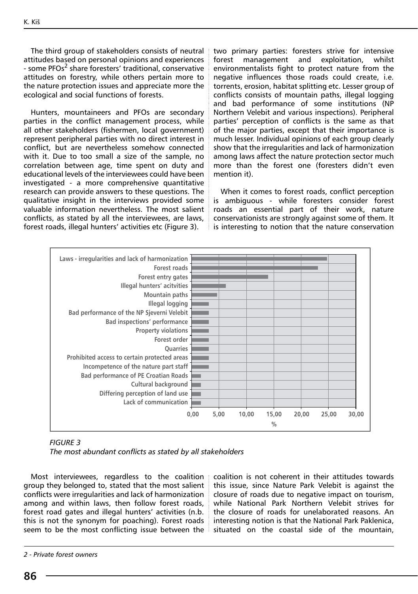The third group of stakeholders consists of neutral attitudes based on personal opinions and experiences - some PFOs<sup>2</sup> share foresters' traditional, conservative attitudes on forestry, while others pertain more to the nature protection issues and appreciate more the ecological and social functions of forests.

Hunters, mountaineers and PFOs are secondary parties in the conflict management process, while all other stakeholders (fishermen, local government) represent peripheral parties with no direct interest in conflict, but are nevertheless somehow connected with it. Due to too small a size of the sample, no correlation between age, time spent on duty and educational levels of the interviewees could have been investigated - a more comprehensive quantitative research can provide answers to these questions. The qualitative insight in the interviews provided some valuable information nevertheless. The most salient conflicts, as stated by all the interviewees, are laws, forest roads, illegal hunters' activities etc (Figure 3).

two primary parties: foresters strive for intensive forest management and exploitation, whilst environmentalists fight to protect nature from the negative influences those roads could create, i.e. torrents, erosion, habitat splitting etc. Lesser group of conflicts consists of mountain paths, illegal logging and bad performance of some institutions (NP Northern Velebit and various inspections). Peripheral parties' perception of conflicts is the same as that of the major parties, except that their importance is much lesser. Individual opinions of each group clearly show that the irregularities and lack of harmonization among laws affect the nature protection sector much more than the forest one (foresters didn't even mention it).

When it comes to forest roads, conflict perception is ambiguous - while foresters consider forest roads an essential part of their work, nature conservationists are strongly against some of them. It is interesting to notion that the nature conservation



| FIGURE 3 |                                                           |
|----------|-----------------------------------------------------------|
|          | The most abundant conflicts as stated by all stakeholders |

Most interviewees, regardless to the coalition group they belonged to, stated that the most salient conflicts were irregularities and lack of harmonization among and within laws, then follow forest roads, forest road gates and illegal hunters' activities (n.b. this is not the synonym for poaching). Forest roads seem to be the most conflicting issue between the

coalition is not coherent in their attitudes towards this issue, since Nature Park Velebit is against the closure of roads due to negative impact on tourism, while National Park Northern Velebit strives for the closure of roads for unelaborated reasons. An interesting notion is that the National Park Paklenica, situated on the coastal side of the mountain,

*<sup>2 -</sup> Private forest owners*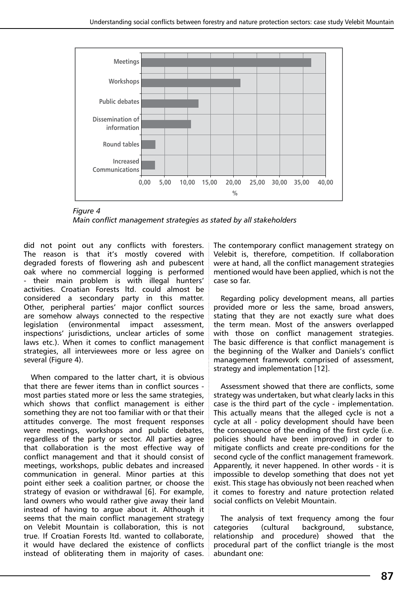

*Figure 4 Main conflict management strategies as stated by all stakeholders*

did not point out any conflicts with foresters. The reason is that it's mostly covered with degraded forests of flowering ash and pubescent oak where no commercial logging is performed - their main problem is with illegal hunters' activities. Croatian Forests ltd. could almost be considered a secondary party in this matter. Other, peripheral parties' major conflict sources are somehow always connected to the respective legislation (environmental impact assessment, inspections' jurisdictions, unclear articles of some laws etc.). When it comes to conflict management strategies, all interviewees more or less agree on several (Figure 4).

When compared to the latter chart, it is obvious that there are fewer items than in conflict sources most parties stated more or less the same strategies, which shows that conflict management is either something they are not too familiar with or that their attitudes converge. The most frequent responses were meetings, workshops and public debates, regardless of the party or sector. All parties agree that collaboration is the most effective way of conflict management and that it should consist of meetings, workshops, public debates and increased communication in general. Minor parties at this point either seek a coalition partner, or choose the strategy of evasion or withdrawal [6]. For example, land owners who would rather give away their land instead of having to argue about it. Although it seems that the main conflict management strategy on Velebit Mountain is collaboration, this is not true. If Croatian Forests ltd. wanted to collaborate, it would have declared the existence of conflicts instead of obliterating them in majority of cases.

The contemporary conflict management strategy on Velebit is, therefore, competition. If collaboration were at hand, all the conflict management strategies mentioned would have been applied, which is not the case so far.

Regarding policy development means, all parties provided more or less the same, broad answers, stating that they are not exactly sure what does the term mean. Most of the answers overlapped with those on conflict management strategies. The basic difference is that conflict management is the beginning of the Walker and Daniels's conflict management framework comprised of assessment, strategy and implementation [12].

Assessment showed that there are conflicts, some strategy was undertaken, but what clearly lacks in this case is the third part of the cycle - implementation. This actually means that the alleged cycle is not a cycle at all - policy development should have been the consequence of the ending of the first cycle (i.e. policies should have been improved) in order to mitigate conflicts and create pre-conditions for the second cycle of the conflict management framework. Apparently, it never happened. In other words - it is impossible to develop something that does not yet exist. This stage has obviously not been reached when it comes to forestry and nature protection related social conflicts on Velebit Mountain.

The analysis of text frequency among the four categories (cultural background, substance, relationship and procedure) showed that the procedural part of the conflict triangle is the most abundant one: